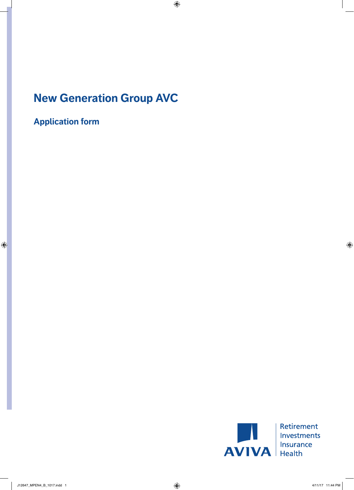# **New Generation Group AVC**

**Application form**



| Retirement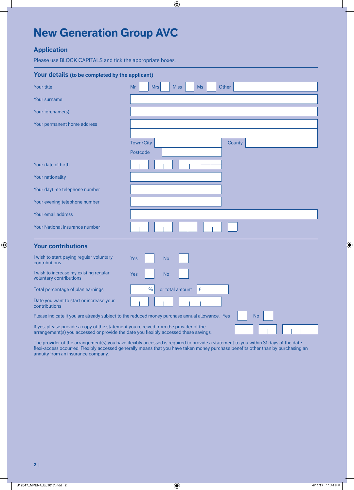# **New Generation Group AVC**

## **Application**

Please use BLOCK CAPITALS and tick the appropriate boxes.

| Your details (to be completed by the applicant)                                                                                                                              |                                                                                                             |
|------------------------------------------------------------------------------------------------------------------------------------------------------------------------------|-------------------------------------------------------------------------------------------------------------|
| Your title                                                                                                                                                                   | Mr<br><b>Miss</b><br>Ms<br><b>Mrs</b><br>Other                                                              |
| Your surname                                                                                                                                                                 |                                                                                                             |
| Your forename(s)                                                                                                                                                             |                                                                                                             |
| Your permanent home address                                                                                                                                                  |                                                                                                             |
|                                                                                                                                                                              |                                                                                                             |
|                                                                                                                                                                              | Town/City<br>County                                                                                         |
|                                                                                                                                                                              | Postcode                                                                                                    |
| Your date of birth                                                                                                                                                           |                                                                                                             |
| Your nationality                                                                                                                                                             |                                                                                                             |
| Your daytime telephone number                                                                                                                                                |                                                                                                             |
| Your evening telephone number                                                                                                                                                |                                                                                                             |
| Your email address                                                                                                                                                           |                                                                                                             |
| <b>Your National Insurance number</b>                                                                                                                                        |                                                                                                             |
| <b>Your contributions</b>                                                                                                                                                    |                                                                                                             |
| I wish to start paying regular voluntary<br>contributions                                                                                                                    | <b>Yes</b><br><b>No</b>                                                                                     |
| I wish to increase my existing regular<br>voluntary contributions                                                                                                            | <b>Yes</b><br><b>No</b>                                                                                     |
| Total percentage of plan earnings                                                                                                                                            | $\frac{0}{0}$<br>or total amount<br>£                                                                       |
| Date you want to start or increase your<br>contributions                                                                                                                     |                                                                                                             |
|                                                                                                                                                                              | Please indicate if you are already subject to the reduced money purchase annual allowance. Yes<br><b>No</b> |
| If yes, please provide a copy of the statement you received from the provider of the<br>arrangement(s) you accessed or provide the date you flexibly accessed these savings. |                                                                                                             |

The provider of the arrangement(s) you have flexibly accessed is required to provide a statement to you within 31 days of the date flexi-access occurred. Flexibly accessed generally means that you have taken money purchase benefits other than by purchasing an annuity from an insurance company.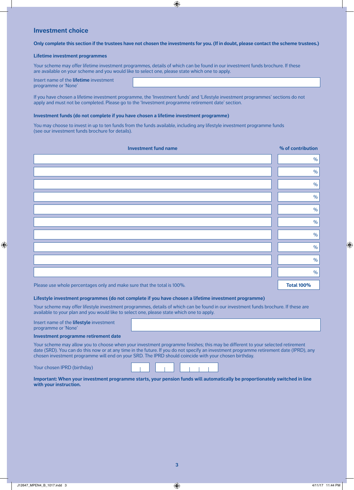## **Investment choice**

#### **Only complete this section if the trustees have not chosen the investments for you. (If in doubt, please contact the scheme trustees.)**

#### **Lifetime investment programmes**

Your scheme may offer lifetime investment programmes, details of which can be found in our investment funds brochure. If these are available on your scheme and you would like to select one, please state which one to apply.

Insert name of the **lifetime** investment programme or 'None'

If you have chosen a lifetime investment programme, the 'Investment funds' and 'Lifestyle investment programmes' sections do not apply and must not be completed. Please go to the 'Investment programme retirement date' section.

#### **Investment funds (do not complete if you have chosen a lifetime investment programme)**

You may choose to invest in up to ten funds from the funds available, including any lifestyle investment programme funds (see our investment funds brochure for details).

| <b>Investment fund name</b>                                             | % of contribution |
|-------------------------------------------------------------------------|-------------------|
|                                                                         | $\%$              |
|                                                                         | $\%$              |
|                                                                         | $\%$              |
|                                                                         | $\%$              |
|                                                                         | $\%$              |
|                                                                         | $\%$              |
|                                                                         | $\%$              |
|                                                                         | $\%$              |
|                                                                         | $\%$              |
|                                                                         | $\%$              |
| Please use whole percentages only and make sure that the total is 100%. | <b>Total 100%</b> |

#### **Lifestyle investment programmes (do not complete if you have chosen a lifetime investment programme)**

Your scheme may offer lifestyle investment programmes, details of which can be found in our investment funds brochure. If these are available to your plan and you would like to select one, please state which one to apply.

| Insert name of the <b>lifestyle</b> investment<br>programme or 'None' |                                                                                                                                |
|-----------------------------------------------------------------------|--------------------------------------------------------------------------------------------------------------------------------|
| Investment programme retirement date                                  |                                                                                                                                |
|                                                                       | Your scheme may allow you to choose when your investment programme finishes; this may be different to your selected retirement |

date (SRD). You can do this now or at any time in the future. If you do not specify an investment programme retirement date (IPRD), any chosen investment programme will end on your SRD. The IPRD should coincide with your chosen birthday.

Your chosen IPRD (birthday)

| Important: When your investment programme starts, your pension funds will automatically be proportionately switched in line |  |  |
|-----------------------------------------------------------------------------------------------------------------------------|--|--|
| with your instruction.                                                                                                      |  |  |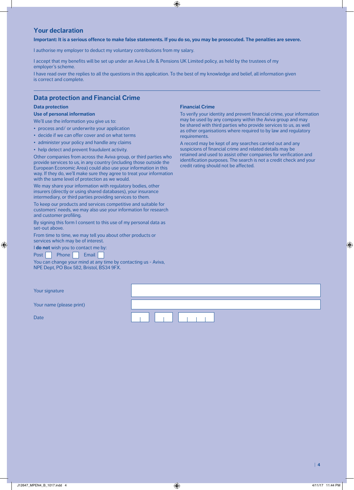## **Your declaration**

#### **Important: It is a serious offence to make false statements. If you do so, you may be prosecuted. The penalties are severe.**

I authorise my employer to deduct my voluntary contributions from my salary.

I accept that my benefits will be set up under an Aviva Life & Pensions UK Limited policy, as held by the trustees of my employer's scheme.

I have read over the replies to all the questions in this application. To the best of my knowledge and belief, all information given is correct and complete.

### **Data protection and Financial Crime**

#### **Data protection**

#### **Use of personal information**

We'll use the information you give us to:

- process and/ or underwrite your application
- decide if we can offer cover and on what terms
- administer your policy and handle any claims
- help detect and prevent fraudulent activity.

Other companies from across the Aviva group, or third parties who provide services to us, in any country (including those outside the European Economic Area) could also use your information in this way. If they do, we'll make sure they agree to treat your information with the same level of protection as we would.

We may share your information with regulatory bodies, other insurers (directly or using shared databases), your insurance intermediary, or third parties providing services to them.

To keep our products and services competitive and suitable for customers' needs, we may also use your information for research and customer profiling.

By signing this form I consent to this use of my personal data as set-out above.

From time to time, we may tell you about other products or services which may be of interest.

I **do not** wish you to contact me by:

Post Phone Email

You can change your mind at any time by contacting us - Aviva, NPE Dept, PO Box 582, Bristol, BS34 9FX.

#### **Financial Crime**

To verify your identity and prevent financial crime, your information may be used by any company within the Aviva group and may be shared with third parties who provide services to us, as well as other organisations where required to by law and regulatory requirements.

A record may be kept of any searches carried out and any suspicions of financial crime and related details may be retained and used to assist other companies for verification and identification purposes. The search is not a credit check and your credit rating should not be affected.

| Your signature           |  |
|--------------------------|--|
| Your name (please print) |  |
| <b>Date</b>              |  |